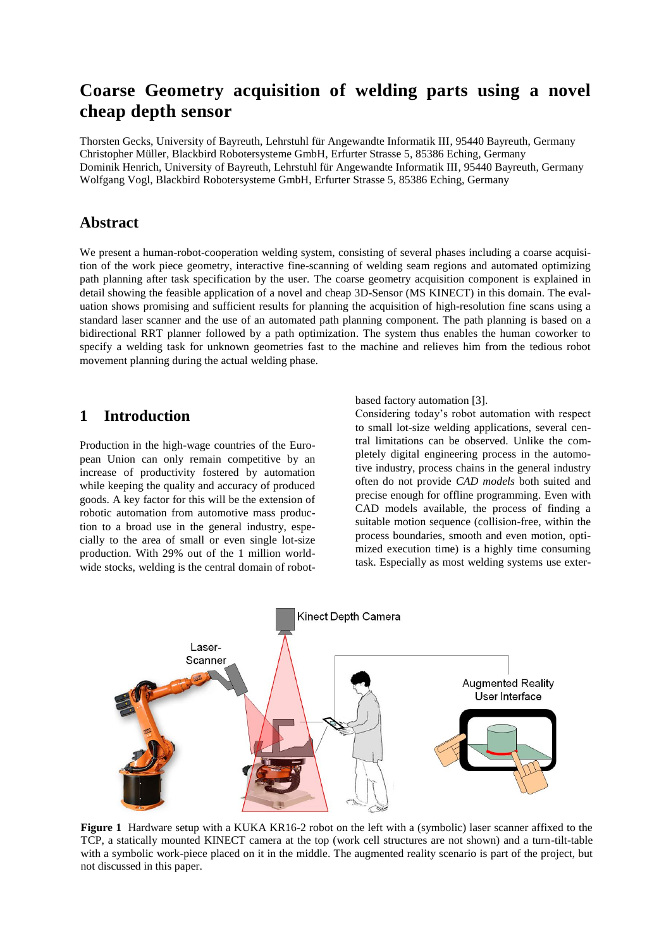# **Coarse Geometry acquisition of welding parts using a novel cheap depth sensor**

Thorsten Gecks, University of Bayreuth, Lehrstuhl für Angewandte Informatik III, 95440 Bayreuth, Germany Christopher Müller, Blackbird Robotersysteme GmbH, Erfurter Strasse 5, 85386 Eching, Germany Dominik Henrich, University of Bayreuth, Lehrstuhl für Angewandte Informatik III, 95440 Bayreuth, Germany Wolfgang Vogl, Blackbird Robotersysteme GmbH, Erfurter Strasse 5, 85386 Eching, Germany

## **Abstract**

We present a human-robot-cooperation welding system, consisting of several phases including a coarse acquisition of the work piece geometry, interactive fine-scanning of welding seam regions and automated optimizing path planning after task specification by the user. The coarse geometry acquisition component is explained in detail showing the feasible application of a novel and cheap 3D-Sensor (MS KINECT) in this domain. The evaluation shows promising and sufficient results for planning the acquisition of high-resolution fine scans using a standard laser scanner and the use of an automated path planning component. The path planning is based on a bidirectional RRT planner followed by a path optimization. The system thus enables the human coworker to specify a welding task for unknown geometries fast to the machine and relieves him from the tedious robot movement planning during the actual welding phase.

#### **1 Introduction**

Production in the high-wage countries of the European Union can only remain competitive by an increase of productivity fostered by automation while keeping the quality and accuracy of produced goods. A key factor for this will be the extension of robotic automation from automotive mass production to a broad use in the general industry, especially to the area of small or even single lot-size production. With 29% out of the 1 million worldwide stocks, welding is the central domain of robotbased factory automation [3].

Considering today's robot automation with respect to small lot-size welding applications, several central limitations can be observed. Unlike the completely digital engineering process in the automotive industry, process chains in the general industry often do not provide *CAD models* both suited and precise enough for offline programming. Even with CAD models available, the process of finding a suitable motion sequence (collision-free, within the process boundaries, smooth and even motion, optimized execution time) is a highly time consuming task. Especially as most welding systems use exter-



**Figure 1** Hardware setup with a KUKA KR16-2 robot on the left with a (symbolic) laser scanner affixed to the TCP, a statically mounted KINECT camera at the top (work cell structures are not shown) and a turn-tilt-table with a symbolic work-piece placed on it in the middle. The augmented reality scenario is part of the project, but not discussed in this paper.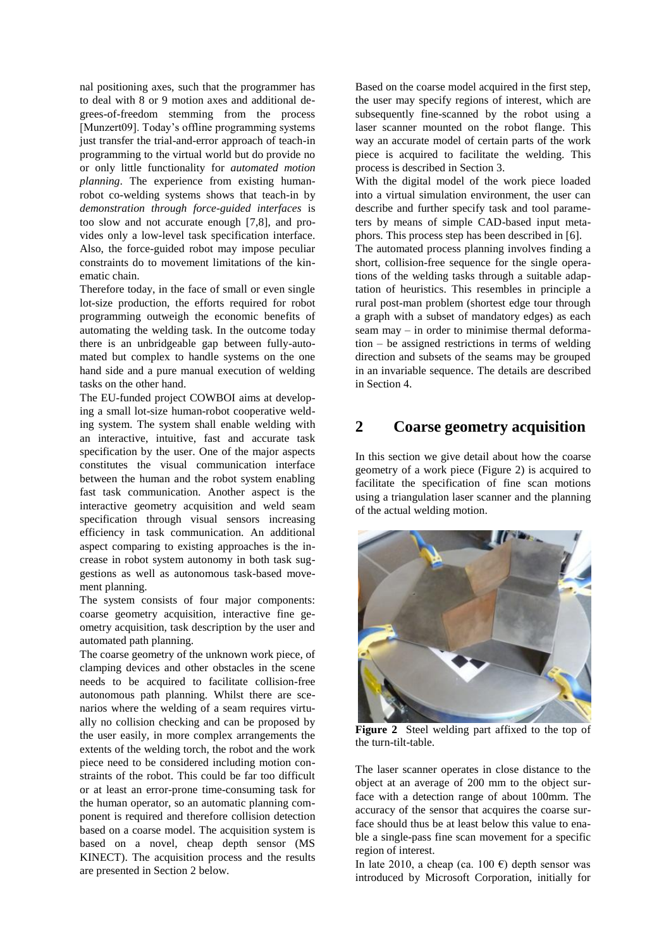nal positioning axes, such that the programmer has to deal with 8 or 9 motion axes and additional degrees-of-freedom stemming from the process [Munzert09]. Today's offline programming systems just transfer the trial-and-error approach of teach-in programming to the virtual world but do provide no or only little functionality for *automated motion planning*. The experience from existing humanrobot co-welding systems shows that teach-in by *demonstration through force-guided interfaces* is too slow and not accurate enough [7,8], and provides only a low-level task specification interface. Also, the force-guided robot may impose peculiar constraints do to movement limitations of the kinematic chain.

Therefore today, in the face of small or even single lot-size production, the efforts required for robot programming outweigh the economic benefits of automating the welding task. In the outcome today there is an unbridgeable gap between fully-automated but complex to handle systems on the one hand side and a pure manual execution of welding tasks on the other hand.

The EU-funded project COWBOI aims at developing a small lot-size human-robot cooperative welding system. The system shall enable welding with an interactive, intuitive, fast and accurate task specification by the user. One of the major aspects constitutes the visual communication interface between the human and the robot system enabling fast task communication. Another aspect is the interactive geometry acquisition and weld seam specification through visual sensors increasing efficiency in task communication. An additional aspect comparing to existing approaches is the increase in robot system autonomy in both task suggestions as well as autonomous task-based movement planning.

The system consists of four major components: coarse geometry acquisition, interactive fine geometry acquisition, task description by the user and automated path planning.

The coarse geometry of the unknown work piece, of clamping devices and other obstacles in the scene needs to be acquired to facilitate collision-free autonomous path planning. Whilst there are scenarios where the welding of a seam requires virtually no collision checking and can be proposed by the user easily, in more complex arrangements the extents of the welding torch, the robot and the work piece need to be considered including motion constraints of the robot. This could be far too difficult or at least an error-prone time-consuming task for the human operator, so an automatic planning component is required and therefore collision detection based on a coarse model. The acquisition system is based on a novel, cheap depth sensor (MS KINECT). The acquisition process and the results are presented in Section [2](#page-1-0) below.

Based on the coarse model acquired in the first step, the user may specify regions of interest, which are subsequently fine-scanned by the robot using a laser scanner mounted on the robot flange. This way an accurate model of certain parts of the work piece is acquired to facilitate the welding. This process is described in Sectio[n 3.](#page-3-0)

With the digital model of the work piece loaded into a virtual simulation environment, the user can describe and further specify task and tool parameters by means of simple CAD-based input metaphors. This process step has been described in [6].

The automated process planning involves finding a short, collision-free sequence for the single operations of the welding tasks through a suitable adaptation of heuristics. This resembles in principle a rural post-man problem (shortest edge tour through a graph with a subset of mandatory edges) as each seam may – in order to minimise thermal deformation – be assigned restrictions in terms of welding direction and subsets of the seams may be grouped in an invariable sequence. The details are described in Section [4.](#page-3-1)

## <span id="page-1-0"></span>**2 Coarse geometry acquisition**

In this section we give detail about how the coarse geometry of a work piece [\(Figure 2\)](#page-1-1) is acquired to facilitate the specification of fine scan motions using a triangulation laser scanner and the planning of the actual welding motion.



**Figure 2** Steel welding part affixed to the top of the turn-tilt-table.

<span id="page-1-1"></span>The laser scanner operates in close distance to the object at an average of 200 mm to the object surface with a detection range of about 100mm. The accuracy of the sensor that acquires the coarse surface should thus be at least below this value to enable a single-pass fine scan movement for a specific region of interest.

In late 2010, a cheap (ca. 100  $\epsilon$ ) depth sensor was introduced by Microsoft Corporation, initially for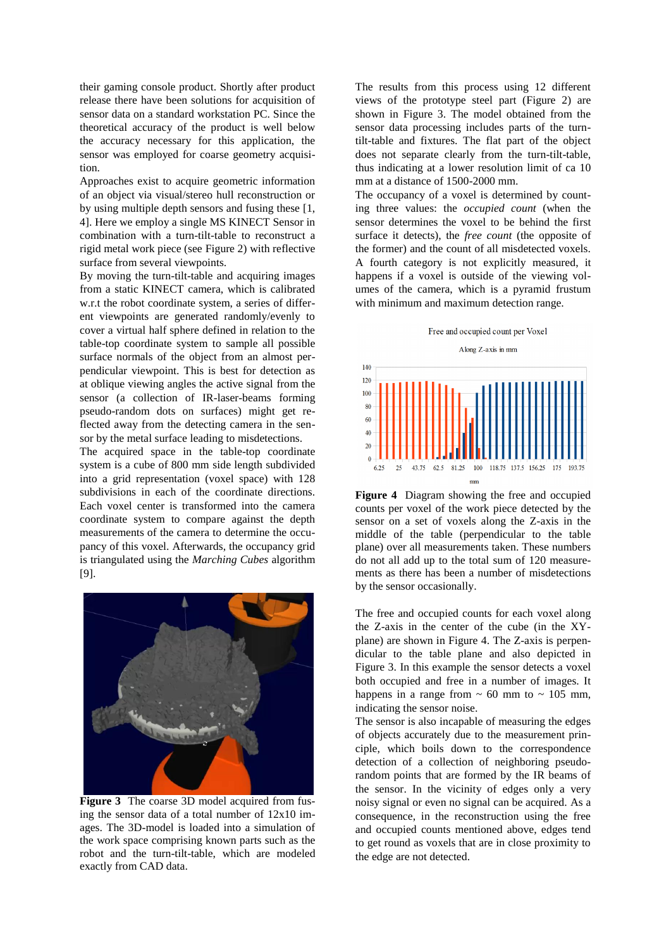their gaming console product. Shortly after product release there have been solutions for acquisition of sensor data on a standard workstation PC. Since the theoretical accuracy of the product is well below the accuracy necessary for this application, the sensor was employed for coarse geometry acquisition.

Approaches exist to acquire geometric information of an object via visual/stereo hull reconstruction or by using multiple depth sensors and fusing these [1, 4]. Here we employ a single MS KINECT Sensor in combination with a turn-tilt-table to reconstruct a rigid metal work piece (see [Figure 2\)](#page-1-1) with reflective surface from several viewpoints.

By moving the turn-tilt-table and acquiring images from a static KINECT camera, which is calibrated w.r.t the robot coordinate system, a series of different viewpoints are generated randomly/evenly to cover a virtual half sphere defined in relation to the table-top coordinate system to sample all possible surface normals of the object from an almost perpendicular viewpoint. This is best for detection as at oblique viewing angles the active signal from the sensor (a collection of IR-laser-beams forming pseudo-random dots on surfaces) might get reflected away from the detecting camera in the sensor by the metal surface leading to misdetections.

The acquired space in the table-top coordinate system is a cube of 800 mm side length subdivided into a grid representation (voxel space) with 128 subdivisions in each of the coordinate directions. Each voxel center is transformed into the camera coordinate system to compare against the depth measurements of the camera to determine the occupancy of this voxel. Afterwards, the occupancy grid is triangulated using the *Marching Cubes* algorithm [9].



**Figure 3** The coarse 3D model acquired from fusing the sensor data of a total number of 12x10 images. The 3D-model is loaded into a simulation of the work space comprising known parts such as the robot and the turn-tilt-table, which are modeled exactly from CAD data.

The results from this process using 12 different views of the prototype steel part [\(Figure 2\)](#page-1-1) are shown in Figure 3. The model obtained from the sensor data processing includes parts of the turntilt-table and fixtures. The flat part of the object does not separate clearly from the turn-tilt-table, thus indicating at a lower resolution limit of ca 10 mm at a distance of 1500-2000 mm.

The occupancy of a voxel is determined by counting three values: the *occupied count* (when the sensor determines the voxel to be behind the first surface it detects), the *free count* (the opposite of the former) and the count of all misdetected voxels. A fourth category is not explicitly measured, it happens if a voxel is outside of the viewing volumes of the camera, which is a pyramid frustum with minimum and maximum detection range.

Free and occupied count per Voxel





<span id="page-2-0"></span>**Figure 4** Diagram showing the free and occupied counts per voxel of the work piece detected by the sensor on a set of voxels along the Z-axis in the middle of the table (perpendicular to the table plane) over all measurements taken. These numbers do not all add up to the total sum of 120 measurements as there has been a number of misdetections by the sensor occasionally.

The free and occupied counts for each voxel along the Z-axis in the center of the cube (in the XYplane) are shown in [Figure 4.](#page-2-0) The Z-axis is perpendicular to the table plane and also depicted in Figure 3. In this example the sensor detects a voxel both occupied and free in a number of images. It happens in a range from  $\sim 60$  mm to  $\sim 105$  mm, indicating the sensor noise.

The sensor is also incapable of measuring the edges of objects accurately due to the measurement principle, which boils down to the correspondence detection of a collection of neighboring pseudorandom points that are formed by the IR beams of the sensor. In the vicinity of edges only a very noisy signal or even no signal can be acquired. As a consequence, in the reconstruction using the free and occupied counts mentioned above, edges tend to get round as voxels that are in close proximity to the edge are not detected.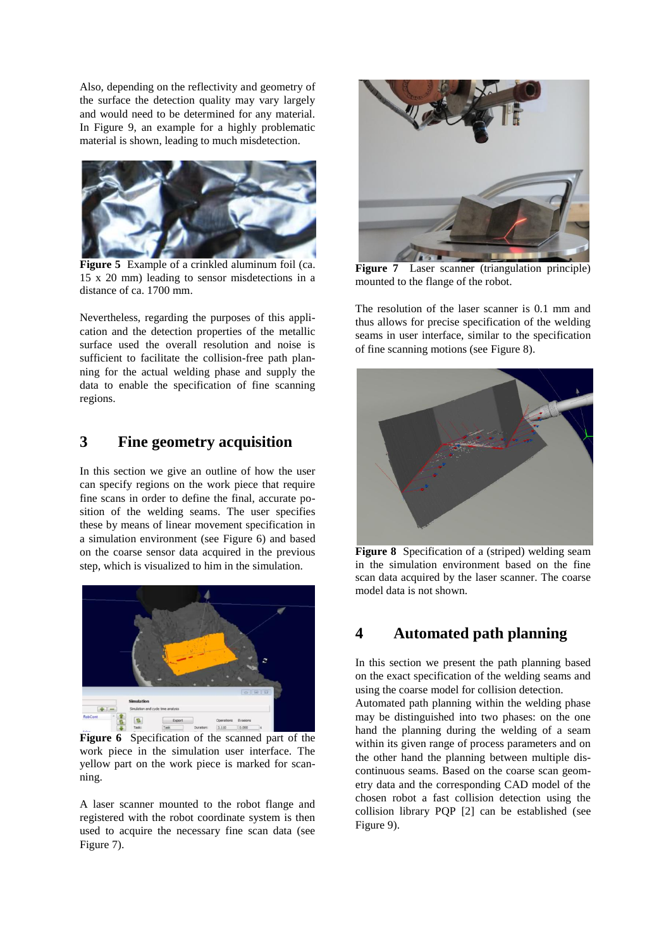Also, depending on the reflectivity and geometry of the surface the detection quality may vary largely and would need to be determined for any material. In [Figure 9,](#page-4-0) an example for a highly problematic material is shown, leading to much misdetection.



**Figure 5** Example of a crinkled aluminum foil (ca. 15 x 20 mm) leading to sensor misdetections in a distance of ca. 1700 mm.

Nevertheless, regarding the purposes of this application and the detection properties of the metallic surface used the overall resolution and noise is sufficient to facilitate the collision-free path planning for the actual welding phase and supply the data to enable the specification of fine scanning regions.

## <span id="page-3-0"></span>**3 Fine geometry acquisition**

In this section we give an outline of how the user can specify regions on the work piece that require fine scans in order to define the final, accurate position of the welding seams. The user specifies these by means of linear movement specification in a simulation environment (see [Figure 6\)](#page-3-2) and based on the coarse sensor data acquired in the previous step, which is visualized to him in the simulation.



**Figure 6** Specification of the scanned part of the work piece in the simulation user interface. The yellow part on the work piece is marked for scanning.

<span id="page-3-2"></span>A laser scanner mounted to the robot flange and registered with the robot coordinate system is then used to acquire the necessary fine scan data (see [Figure 7\)](#page-3-3).



**Figure 7** Laser scanner (triangulation principle) mounted to the flange of the robot.

<span id="page-3-3"></span>The resolution of the laser scanner is 0.1 mm and thus allows for precise specification of the welding seams in user interface, similar to the specification of fine scanning motions (see [Figure 8\)](#page-3-4).



**Figure 8** Specification of a (striped) welding seam in the simulation environment based on the fine scan data acquired by the laser scanner. The coarse model data is not shown.

## <span id="page-3-4"></span><span id="page-3-1"></span>**4 Automated path planning**

In this section we present the path planning based on the exact specification of the welding seams and using the coarse model for collision detection.

Automated path planning within the welding phase may be distinguished into two phases: on the one hand the planning during the welding of a seam within its given range of process parameters and on the other hand the planning between multiple discontinuous seams. Based on the coarse scan geometry data and the corresponding CAD model of the chosen robot a fast collision detection using the collision library PQP [2] can be established (see [Figure 9\)](#page-4-0).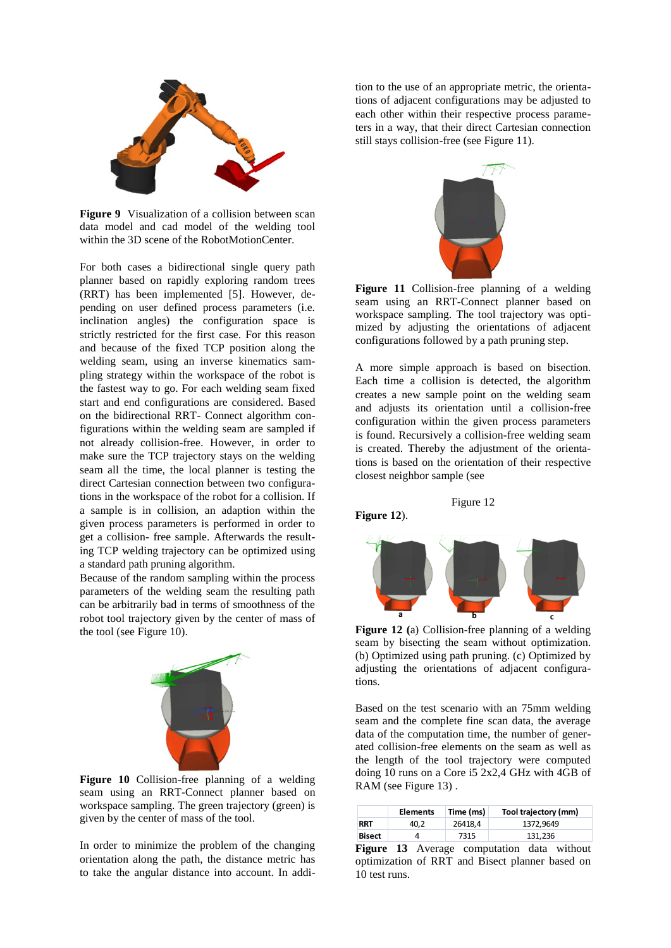

**Figure 9** Visualization of a collision between scan data model and cad model of the welding tool within the 3D scene of the RobotMotionCenter.

<span id="page-4-0"></span>For both cases a bidirectional single query path planner based on rapidly exploring random trees (RRT) has been implemented [5]. However, depending on user defined process parameters (i.e. inclination angles) the configuration space is strictly restricted for the first case. For this reason and because of the fixed TCP position along the welding seam, using an inverse kinematics sampling strategy within the workspace of the robot is the fastest way to go. For each welding seam fixed start and end configurations are considered. Based on the bidirectional RRT- Connect algorithm configurations within the welding seam are sampled if not already collision-free. However, in order to make sure the TCP trajectory stays on the welding seam all the time, the local planner is testing the direct Cartesian connection between two configurations in the workspace of the robot for a collision. If a sample is in collision, an adaption within the given process parameters is performed in order to get a collision- free sample. Afterwards the resulting TCP welding trajectory can be optimized using a standard path pruning algorithm.

Because of the random sampling within the process parameters of the welding seam the resulting path can be arbitrarily bad in terms of smoothness of the robot tool trajectory given by the center of mass of the tool (see [Figure 10\)](#page-4-1).



**Figure 10** Collision-free planning of a welding seam using an RRT-Connect planner based on workspace sampling. The green trajectory (green) is given by the center of mass of the tool.

<span id="page-4-1"></span>In order to minimize the problem of the changing orientation along the path, the distance metric has to take the angular distance into account. In addition to the use of an appropriate metric, the orientations of adjacent configurations may be adjusted to each other within their respective process parameters in a way, that their direct Cartesian connection still stays collision-free (see [Figure 11\)](#page-4-2).



<span id="page-4-2"></span>**Figure 11** Collision-free planning of a welding seam using an RRT-Connect planner based on workspace sampling. The tool trajectory was optimized by adjusting the orientations of adjacent configurations followed by a path pruning step.

A more simple approach is based on bisection. Each time a collision is detected, the algorithm creates a new sample point on the welding seam and adjusts its orientation until a collision-free configuration within the given process parameters is found. Recursively a collision-free welding seam is created. Thereby the adjustment of the orientations is based on the orientation of their respective closest neighbor sample (se[e](#page-4-3)

**Figure 12**).



<span id="page-4-3"></span>[Figure](#page-4-3) 1[2](#page-4-3)

**Figure 12 (**a) Collision-free planning of a welding seam by bisecting the seam without optimization. (b) Optimized using path pruning. (c) Optimized by adjusting the orientations of adjacent configurations.

Based on the test scenario with an 75mm welding seam and the complete fine scan data, the average data of the computation time, the number of generated collision-free elements on the seam as well as the length of the tool trajectory were computed doing 10 runs on a Core i5 2x2,4 GHz with 4GB of RAM (see [Figure 13\)](#page-4-4) .

|            | <b>Elements</b> | Time (ms) | Tool trajectory (mm) |
|------------|-----------------|-----------|----------------------|
| <b>RRT</b> | 40.2            | 26418.4   | 1372.9649            |
| Bisect     |                 | 7315      | 131,236              |

<span id="page-4-4"></span>**Figure 13** Average computation data without optimization of RRT and Bisect planner based on 10 test runs.